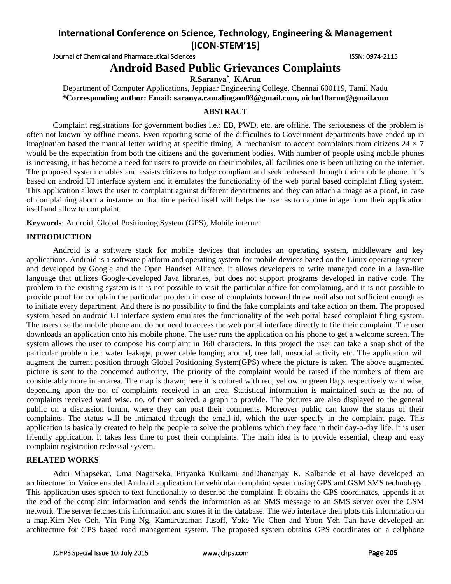Journal of Chemical and Pharmaceutical Sciences **ISSN: 0974-2115** ISSN: 0974-2115

# **Android Based Public Grievances Complaints**

**R.Saranya\* , K.Arun**

Department of Computer Applications, Jeppiaar Engineering College, Chennai 600119, Tamil Nadu **\*Corresponding author: Email: saranya.ramalingam03@gmail.com, nichu10arun@gmail.com**

# **ABSTRACT**

Complaint registrations for government bodies i.e.: EB, PWD, etc. are offline. The seriousness of the problem is often not known by offline means. Even reporting some of the difficulties to Government departments have ended up in imagination based the manual letter writing at specific timing. A mechanism to accept complaints from citizens  $24 \times 7$ would be the expectation from both the citizens and the government bodies. With number of people using mobile phones is increasing, it has become a need for users to provide on their mobiles, all facilities one is been utilizing on the internet. The proposed system enables and assists citizens to lodge compliant and seek redressed through their mobile phone. It is based on android UI interface system and it emulates the functionality of the web portal based complaint filing system. This application allows the user to complaint against different departments and they can attach a image as a proof, in case of complaining about a instance on that time period itself will helps the user as to capture image from their application itself and allow to complaint.

**Keywords**: Android, Global Positioning System (GPS), Mobile internet

# **INTRODUCTION**

Android is a software stack for mobile devices that includes an operating system, middleware and key applications. Android is a software platform and operating system for mobile devices based on the Linux operating system and developed by Google and the Open Handset Alliance. It allows developers to write managed code in a Java-like language that utilizes Google-developed Java libraries, but does not support programs developed in native code. The problem in the existing system is it is not possible to visit the particular office for complaining, and it is not possible to provide proof for complain the particular problem in case of complaints forward threw mail also not sufficient enough as to initiate every department. And there is no possibility to find the fake complaints and take action on them. The proposed system based on android UI interface system emulates the functionality of the web portal based complaint filing system. The users use the mobile phone and do not need to access the web portal interface directly to file their complaint. The user downloads an application onto his mobile phone. The user runs the application on his phone to get a welcome screen. The system allows the user to compose his complaint in 160 characters. In this project the user can take a snap shot of the particular problem i.e.: water leakage, power cable hanging around, tree fall, unsocial activity etc. The application will augment the current position through Global Positioning System(GPS) where the picture is taken. The above augmented picture is sent to the concerned authority. The priority of the complaint would be raised if the numbers of them are considerably more in an area. The map is drawn; here it is colored with red, yellow or green flags respectively ward wise, depending upon the no. of complaints received in an area. Statistical information is maintained such as the no. of complaints received ward wise, no. of them solved, a graph to provide. The pictures are also displayed to the general public on a discussion forum, where they can post their comments. Moreover public can know the status of their complaints. The status will be intimated through the email-id, which the user specify in the complaint page. This application is basically created to help the people to solve the problems which they face in their day-o-day life. It is user friendly application. It takes less time to post their complaints. The main idea is to provide essential, cheap and easy complaint registration redressal system.

### **RELATED WORKS**

Aditi Mhapsekar, Uma Nagarseka, Priyanka Kulkarni andDhananjay R. Kalbande et al have developed an architecture for Voice enabled Android application for vehicular complaint system using GPS and GSM SMS technology. This application uses speech to text functionality to describe the complaint. It obtains the GPS coordinates, appends it at the end of the complaint information and sends the information as an SMS message to an SMS server over the GSM network. The server fetches this information and stores it in the database. The web interface then plots this information on a map.Kim Nee Goh, Yin Ping Ng, Kamaruzaman Jusoff, Yoke Yie Chen and Yoon Yeh Tan have developed an architecture for GPS based road management system. The proposed system obtains GPS coordinates on a cellphone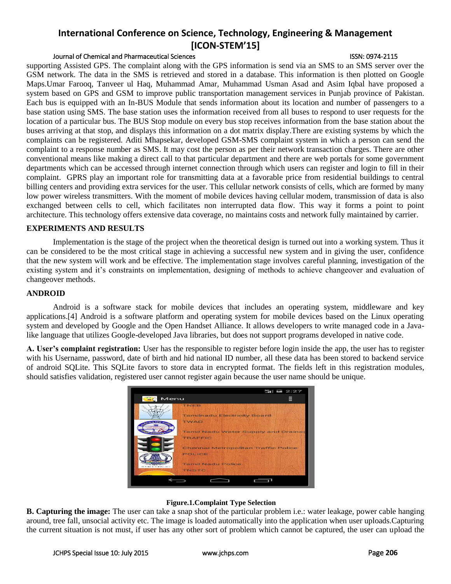# Journal of Chemical and Pharmaceutical Sciences ISSN: 0974-2115

supporting Assisted GPS. The complaint along with the GPS information is send via an SMS to an SMS server over the GSM network. The data in the SMS is retrieved and stored in a database. This information is then plotted on Google Maps.Umar Farooq, Tanveer ul Haq, Muhammad Amar, Muhammad Usman Asad and Asim Iqbal have proposed a system based on GPS and GSM to improve public transportation management services in Punjab province of Pakistan. Each bus is equipped with an In-BUS Module that sends information about its location and number of passengers to a base station using SMS. The base station uses the information received from all buses to respond to user requests for the location of a particular bus. The BUS Stop module on every bus stop receives information from the base station about the buses arriving at that stop, and displays this information on a dot matrix display.There are existing systems by which the complaints can be registered. Aditi Mhapsekar, developed GSM-SMS complaint system in which a person can send the complaint to a response number as SMS. It may cost the person as per their network transaction charges. There are other conventional means like making a direct call to that particular department and there are web portals for some government departments which can be accessed through internet connection through which users can register and login to fill in their complaint. GPRS play an important role for transmitting data at a favorable price from residential buildings to central billing centers and providing extra services for the user. This cellular network consists of cells, which are formed by many low power wireless transmitters. With the moment of mobile devices having cellular modem, transmission of data is also exchanged between cells to cell, which facilitates non interrupted data flow. This way it forms a point to point architecture. This technology offers extensive data coverage, no maintains costs and network fully maintained by carrier.

### **EXPERIMENTS AND RESULTS**

Implementation is the stage of the project when the theoretical design is turned out into a working system. Thus it can be considered to be the most critical stage in achieving a successful new system and in giving the user, confidence that the new system will work and be effective. The implementation stage involves careful planning, investigation of the existing system and it's constraints on implementation, designing of methods to achieve changeover and evaluation of changeover methods.

## **ANDROID**

Android is a software stack for mobile devices that includes an operating system, middleware and key applications.[4] Android is a software platform and operating system for mobile devices based on the Linux operating system and developed by Google and the Open Handset Alliance. It allows developers to write managed code in a Javalike language that utilizes Google-developed Java libraries, but does not support programs developed in native code.

**A. User's complaint registration:** User has the responsible to register before login inside the app, the user has to register with his Username, password, date of birth and hid national ID number, all these data has been stored to backend service of android SQLite. This SQLite favors to store data in encrypted format. The fields left in this registration modules, should satisfies validation, registered user cannot register again because the user name should be unique.



### **Figure.1.Complaint Type Selection**

**B. Capturing the image:** The user can take a snap shot of the particular problem i.e.: water leakage, power cable hanging around, tree fall, unsocial activity etc. The image is loaded automatically into the application when user uploads.Capturing the current situation is not must, if user has any other sort of problem which cannot be captured, the user can upload the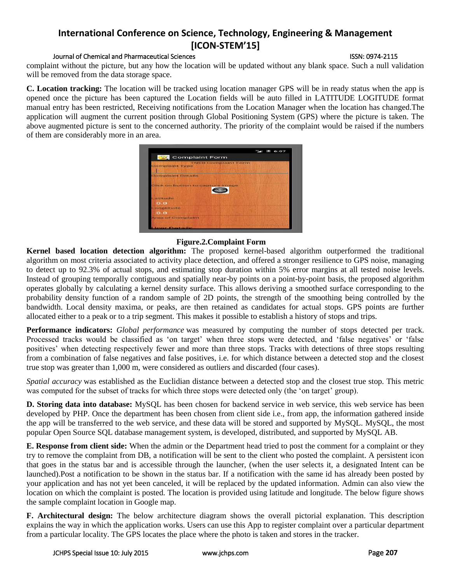## Journal of Chemical and Pharmaceutical Sciences ISSN: 0974-2115

complaint without the picture, but any how the location will be updated without any blank space. Such a null validation will be removed from the data storage space.

**C. Location tracking:** The location will be tracked using location manager GPS will be in ready status when the app is opened once the picture has been captured the Location fields will be auto filled in LATITUDE LOGITUDE format manual entry has been restricted, Receiving notifications from the Location Manager when the location has changed.The application will augment the current position through Global Positioning System (GPS) where the picture is taken. The above augmented picture is sent to the concerned authority. The priority of the complaint would be raised if the numbers of them are considerably more in an area.



# **Figure.2.Complaint Form**

**Kernel based location detection algorithm:** The proposed kernel-based algorithm outperformed the traditional algorithm on most criteria associated to activity place detection, and offered a stronger resilience to GPS noise, managing to detect up to 92.3% of actual stops, and estimating stop duration within 5% error margins at all tested noise levels. Instead of grouping temporally contiguous and spatially near-by points on a point-by-point basis, the proposed algorithm operates globally by calculating a kernel density surface. This allows deriving a smoothed surface corresponding to the probability density function of a random sample of 2D points, the strength of the smoothing being controlled by the bandwidth. Local density maxima, or peaks, are then retained as candidates for actual stops. GPS points are further allocated either to a peak or to a trip segment. This makes it possible to establish a history of stops and trips.

**Performance indicators:** *Global performance* was measured by computing the number of stops detected per track. Processed tracks would be classified as 'on target' when three stops were detected, and 'false negatives' or 'false positives' when detecting respectively fewer and more than three stops. Tracks with detections of three stops resulting from a combination of false negatives and false positives, i.e. for which distance between a detected stop and the closest true stop was greater than 1,000 m, were considered as outliers and discarded (four cases).

*Spatial accuracy* was established as the Euclidian distance between a detected stop and the closest true stop. This metric was computed for the subset of tracks for which three stops were detected only (the 'on target' group).

**D. Storing data into database:** MySQL has been chosen for backend service in web service, this web service has been developed by PHP. Once the department has been chosen from client side i.e., from app, the information gathered inside the app will be transferred to the web service, and these data will be stored and supported by MySQL. MySQL, the most popular Open Source SQL database management system, is developed, distributed, and supported by MySQL AB.

**E. Response from client side:** When the admin or the Department head tried to post the comment for a complaint or they try to remove the complaint from DB, a notification will be sent to the client who posted the complaint. A persistent icon that goes in the status bar and is accessible through the launcher, (when the user selects it, a designated Intent can be launched).Post a notification to be shown in the status bar. If a notification with the same id has already been posted by your application and has not yet been canceled, it will be replaced by the updated information. Admin can also view the location on which the complaint is posted. The location is provided using latitude and longitude. The below figure shows the sample complaint location in Google map.

**F. Architectural design:** The below architecture diagram shows the overall pictorial explanation. This description explains the way in which the application works. Users can use this App to register complaint over a particular department from a particular locality. The GPS locates the place where the photo is taken and stores in the tracker.